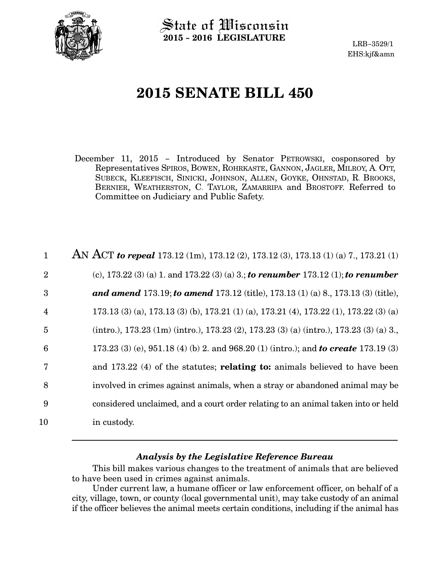

State of Wisconsin 2015 − 2016 LEGISLATURE

LRB−3529/1 EHS:kjf&amn

# 2015 SENATE BILL 450

December 11, 2015 − Introduced by Senator PETROWSKI, cosponsored by Representatives SPIROS, BOWEN, ROHRKASTE, GANNON, JAGLER, MILROY, A. OTT, SUBECK, KLEEFISCH, SINICKI, JOHNSON, ALLEN, GOYKE, OHNSTAD, R. BROOKS, BERNIER, WEATHERSTON, C. TAYLOR, ZAMARRIPA and BROSTOFF. Referred to Committee on Judiciary and Public Safety.

| $\mathbf{1}$    | AN ACT to repeal 173.12 (1m), 173.12 (2), 173.12 (3), 173.13 (1) (a) 7., 173.21 (1)        |
|-----------------|--------------------------------------------------------------------------------------------|
| $\overline{2}$  | (c), 173.22 (3) (a) 1. and 173.22 (3) (a) 3.; to renumber 173.12 (1); to renumber          |
| 3               | <b>and amend 173.19; to amend 173.12</b> (title), 173.13 (1) (a) 8., 173.13 (3) (title),   |
| $\overline{4}$  | 173.13 (3) (a), 173.13 (3) (b), 173.21 (1) (a), 173.21 (4), 173.22 (1), 173.22 (3) (a)     |
| $\overline{5}$  | (intro.), 173.23 (1m) (intro.), 173.23 (2), 173.23 (3) (a) (intro.), 173.23 (3) (a) 3.     |
| $6\phantom{1}6$ | 173.23 (3) (e), 951.18 (4) (b) 2. and 968.20 (1) (intro.); and <b>to create</b> 173.19 (3) |
| 7               | and 173.22 (4) of the statutes; <b>relating to:</b> animals believed to have been          |
| 8               | involved in crimes against animals, when a stray or abandoned animal may be                |
| 9               | considered unclaimed, and a court order relating to an animal taken into or held           |
| 10              | in custody.                                                                                |

## Analysis by the Legislative Reference Bureau

This bill makes various changes to the treatment of animals that are believed to have been used in crimes against animals.

Under current law, a humane officer or law enforcement officer, on behalf of a city, village, town, or county (local governmental unit), may take custody of an animal if the officer believes the animal meets certain conditions, including if the animal has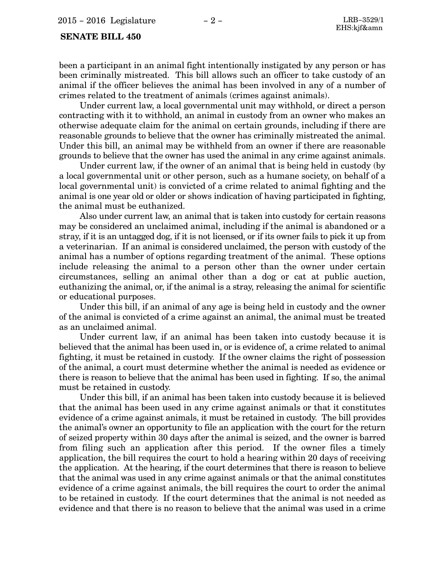#### SENATE BILL 450

been a participant in an animal fight intentionally instigated by any person or has been criminally mistreated. This bill allows such an officer to take custody of an animal if the officer believes the animal has been involved in any of a number of crimes related to the treatment of animals (crimes against animals).

Under current law, a local governmental unit may withhold, or direct a person contracting with it to withhold, an animal in custody from an owner who makes an otherwise adequate claim for the animal on certain grounds, including if there are reasonable grounds to believe that the owner has criminally mistreated the animal. Under this bill, an animal may be withheld from an owner if there are reasonable grounds to believe that the owner has used the animal in any crime against animals.

Under current law, if the owner of an animal that is being held in custody (by a local governmental unit or other person, such as a humane society, on behalf of a local governmental unit) is convicted of a crime related to animal fighting and the animal is one year old or older or shows indication of having participated in fighting, the animal must be euthanized.

Also under current law, an animal that is taken into custody for certain reasons may be considered an unclaimed animal, including if the animal is abandoned or a stray, if it is an untagged dog, if it is not licensed, or if its owner fails to pick it up from a veterinarian. If an animal is considered unclaimed, the person with custody of the animal has a number of options regarding treatment of the animal. These options include releasing the animal to a person other than the owner under certain circumstances, selling an animal other than a dog or cat at public auction, euthanizing the animal, or, if the animal is a stray, releasing the animal for scientific or educational purposes.

Under this bill, if an animal of any age is being held in custody and the owner of the animal is convicted of a crime against an animal, the animal must be treated as an unclaimed animal.

Under current law, if an animal has been taken into custody because it is believed that the animal has been used in, or is evidence of, a crime related to animal fighting, it must be retained in custody. If the owner claims the right of possession of the animal, a court must determine whether the animal is needed as evidence or there is reason to believe that the animal has been used in fighting. If so, the animal must be retained in custody.

Under this bill, if an animal has been taken into custody because it is believed that the animal has been used in any crime against animals or that it constitutes evidence of a crime against animals, it must be retained in custody. The bill provides the animal's owner an opportunity to file an application with the court for the return of seized property within 30 days after the animal is seized, and the owner is barred from filing such an application after this period. If the owner files a timely application, the bill requires the court to hold a hearing within 20 days of receiving the application. At the hearing, if the court determines that there is reason to believe that the animal was used in any crime against animals or that the animal constitutes evidence of a crime against animals, the bill requires the court to order the animal to be retained in custody. If the court determines that the animal is not needed as evidence and that there is no reason to believe that the animal was used in a crime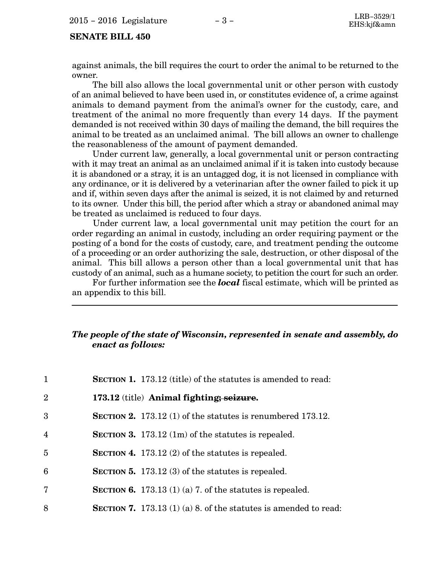## SENATE BILL 450

against animals, the bill requires the court to order the animal to be returned to the owner.

The bill also allows the local governmental unit or other person with custody of an animal believed to have been used in, or constitutes evidence of, a crime against animals to demand payment from the animal's owner for the custody, care, and treatment of the animal no more frequently than every 14 days. If the payment demanded is not received within 30 days of mailing the demand, the bill requires the animal to be treated as an unclaimed animal. The bill allows an owner to challenge the reasonableness of the amount of payment demanded.

Under current law, generally, a local governmental unit or person contracting with it may treat an animal as an unclaimed animal if it is taken into custody because it is abandoned or a stray, it is an untagged dog, it is not licensed in compliance with any ordinance, or it is delivered by a veterinarian after the owner failed to pick it up and if, within seven days after the animal is seized, it is not claimed by and returned to its owner. Under this bill, the period after which a stray or abandoned animal may be treated as unclaimed is reduced to four days.

Under current law, a local governmental unit may petition the court for an order regarding an animal in custody, including an order requiring payment or the posting of a bond for the costs of custody, care, and treatment pending the outcome of a proceeding or an order authorizing the sale, destruction, or other disposal of the animal. This bill allows a person other than a local governmental unit that has custody of an animal, such as a humane society, to petition the court for such an order.

For further information see the **local** fiscal estimate, which will be printed as an appendix to this bill.

## The people of the state of Wisconsin, represented in senate and assembly, do enact as follows:

| $\mathbf{1}$   | <b>SECTION 1.</b> 173.12 (title) of the statutes is amended to read:    |
|----------------|-------------------------------------------------------------------------|
| $\overline{2}$ | 173.12 (title) Animal fighting; seizure.                                |
| 3              | <b>SECTION 2.</b> 173.12 (1) of the statutes is renumbered 173.12.      |
| $\overline{4}$ | <b>SECTION 3.</b> 173.12 $(1m)$ of the statutes is repealed.            |
| $\overline{5}$ | SECTION 4. 173.12 $(2)$ of the statutes is repealed.                    |
| 6              | <b>SECTION 5.</b> 173.12 (3) of the statutes is repealed.               |
| 7              | <b>SECTION 6.</b> 173.13 (1) (a) 7. of the statures is repealed.        |
| 8              | <b>SECTION 7.</b> 173.13 (1) (a) 8. of the statutes is amended to read: |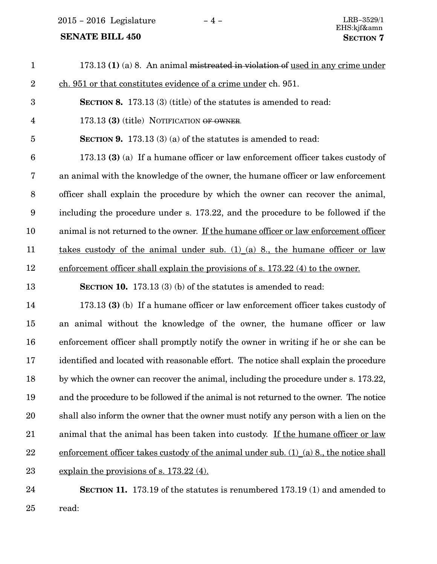$2015 - 2016$  Legislature  $-4 -$ <br>LRB-3529/1

## **SENATE BILL 450**

| $\mathbf{1}$     | 173.13 (1) (a) 8. An animal mistreated in violation of used in any crime under          |
|------------------|-----------------------------------------------------------------------------------------|
| $\overline{2}$   | ch. 951 or that constitutes evidence of a crime under ch. 951.                          |
| 3                | <b>SECTION 8.</b> 173.13 (3) (title) of the statutes is amended to read:                |
| $\overline{4}$   | 173.13 (3) (title) NOTIFICATION OF OWNER.                                               |
| $\overline{5}$   | SECTION 9. 173.13 (3) (a) of the statutes is amended to read:                           |
| $\boldsymbol{6}$ | 173.13 (3) (a) If a humane officer or law enforcement officer takes custody of          |
| 7                | an animal with the knowledge of the owner, the humane officer or law enforcement        |
| 8                | officer shall explain the procedure by which the owner can recover the animal,          |
| $9\phantom{.0}$  | including the procedure under s. 173.22, and the procedure to be followed if the        |
| 10               | animal is not returned to the owner. If the humane officer or law enforcement officer   |
| 11               | takes custody of the animal under sub. $(1)$ (a) 8, the humane officer or law           |
| 12               | enforcement officer shall explain the provisions of s. 173.22 (4) to the owner.         |
| 13               | <b>SECTION 10.</b> 173.13 (3) (b) of the statutes is amended to read:                   |
| 14               | 173.13 (3) (b) If a humane officer or law enforcement officer takes custody of          |
| 15               | an animal without the knowledge of the owner, the humane officer or law                 |
| 16               | enforcement officer shall promptly notify the owner in writing if he or she can be      |
| 17               | identified and located with reasonable effort. The notice shall explain the procedure   |
| 18               | by which the owner can recover the animal, including the procedure under s. 173.22,     |
| 19               | and the procedure to be followed if the animal is not returned to the owner. The notice |
| 20               | shall also inform the owner that the owner must notify any person with a lien on the    |
| 21               | animal that the animal has been taken into custody. If the humane officer or law        |
| 22               | enforcement officer takes custody of the animal under sub. (1) (a) 8, the notice shall  |
| 23               | explain the provisions of s. $173.22(4)$ .                                              |
| 24               | SECTION 11. 173.19 of the statutes is renumbered 173.19 (1) and amended to              |
|                  |                                                                                         |

25

read: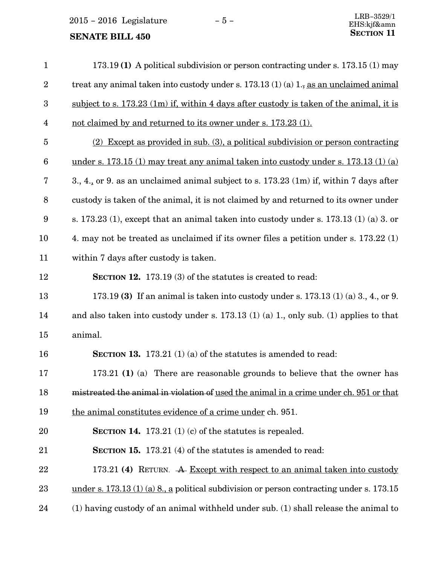2015 – 2016 Legislature − 5 –

| $\mathbf{1}$            | 173.19 (1) A political subdivision or person contracting under s. 173.15 (1) may                      |
|-------------------------|-------------------------------------------------------------------------------------------------------|
| $\boldsymbol{2}$        | treat any animal taken into custody under s. $173.13(1)(a)$ $1_{\overline{2}}$ as an unclaimed animal |
| $\boldsymbol{3}$        | subject to s. $173.23$ (1m) if, within 4 days after custody is taken of the animal, it is             |
| $\overline{\mathbf{4}}$ | not claimed by and returned to its owner under s. 173.23 (1).                                         |
| $\overline{5}$          | (2) Except as provided in sub. (3), a political subdivision or person contracting                     |
| $6\phantom{.}6$         | under s. 173.15 (1) may treat any animal taken into custody under s. 173.13 (1) (a)                   |
| 7                       | 3., 4., or 9. as an unclaimed animal subject to s. 173.23 (1m) if, within 7 days after                |
| 8                       | custody is taken of the animal, it is not claimed by and returned to its owner under                  |
| 9                       | s. 173.23 (1), except that an animal taken into custody under s. 173.13 (1) (a) 3. or                 |
| 10                      | 4. may not be treated as unclaimed if its owner files a petition under s. 173.22 (1)                  |
| 11                      | within 7 days after custody is taken.                                                                 |
| 12                      | <b>SECTION 12.</b> 173.19 (3) of the statutes is created to read:                                     |
| 13                      | 173.19 (3) If an animal is taken into custody under s. $173.13$ (1) (a) 3, 4, or 9.                   |
| 14                      | and also taken into custody under s. $173.13$ (1) (a) 1., only sub. (1) applies to that               |
| 15                      | animal.                                                                                               |
| 16                      | <b>SECTION 13.</b> 173.21 (1) (a) of the statutes is amended to read:                                 |
| 17                      | 173.21 (1) (a) There are reasonable grounds to believe that the owner has                             |
| 18                      | mistreated the animal in violation of used the animal in a crime under ch. 951 or that                |
| 19                      | the animal constitutes evidence of a crime under ch. 951.                                             |
| 20                      | SECTION 14. 173.21 $(1)$ $(c)$ of the statutes is repealed.                                           |
| 21                      | <b>SECTION 15.</b> 173.21 (4) of the statutes is amended to read:                                     |
| 22                      | 173.21 (4) RETURN. A Except with respect to an animal taken into custody                              |
| 23                      | under s. $173.13(1)(a)$ 8., a political subdivision or person contracting under s. 173.15             |
| 24                      | (1) having custody of an animal withheld under sub. (1) shall release the animal to                   |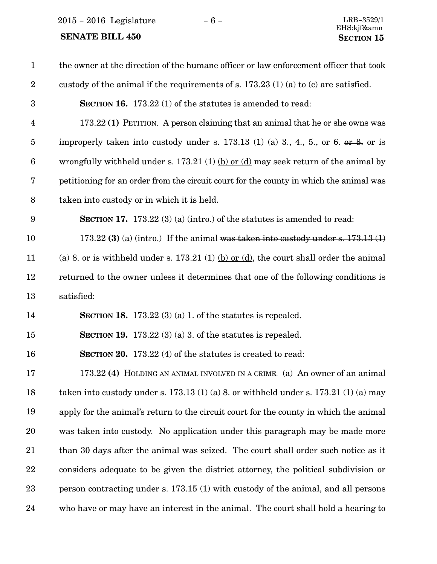$2015 - 2016$  Legislature  $-6 -$ <br>LRB-3529/1

| $\mathbf{1}$            | the owner at the direction of the humane officer or law enforcement officer that took  |
|-------------------------|----------------------------------------------------------------------------------------|
| $\boldsymbol{2}$        | custody of the animal if the requirements of s. $173.23(1)(a)$ to (c) are satisfied.   |
| $\boldsymbol{3}$        | <b>SECTION 16.</b> 173.22 (1) of the statutes is amended to read:                      |
| $\overline{\mathbf{4}}$ | 173.22 (1) PETITION. A person claiming that an animal that he or she owns was          |
| $\overline{5}$          | improperly taken into custody under s. 173.13 (1) (a) 3., 4., 5., or 6. or $\&$ or is  |
| $\boldsymbol{6}$        | wrongfully withheld under s. 173.21 (1) (b) or (d) may seek return of the animal by    |
| 7                       | petitioning for an order from the circuit court for the county in which the animal was |
| $8\,$                   | taken into custody or in which it is held.                                             |
| $\boldsymbol{9}$        | <b>SECTION 17.</b> 173.22 (3) (a) (intro.) of the statutes is amended to read:         |
| 10                      | 173.22 (3) (a) (intro.) If the animal was taken into custody under s. $173.13(1)$      |
| 11                      | (a) 8. or is withheld under s. 173.21 (1) (b) or (d), the court shall order the animal |
| 12                      | returned to the owner unless it determines that one of the following conditions is     |
| 13                      | satisfied:                                                                             |
| 14                      | SECTION 18. 173.22 (3) (a) 1. of the statutes is repealed.                             |
| 15                      | <b>SECTION 19.</b> 173.22 (3) (a) 3. of the statures is repealed.                      |
| 16                      | <b>SECTION 20.</b> 173.22 (4) of the statutes is created to read:                      |
| 17                      | 173.22 (4) HOLDING AN ANIMAL INVOLVED IN A CRIME. (a) An owner of an animal            |
| 18                      | taken into custody under s. 173.13 (1) (a) 8. or withheld under s. 173.21 (1) (a) may  |
| 19                      | apply for the animal's return to the circuit court for the county in which the animal  |
| 20                      | was taken into custody. No application under this paragraph may be made more           |
| 21                      | than 30 days after the animal was seized. The court shall order such notice as it      |
| $22\,$                  | considers adequate to be given the district attorney, the political subdivision or     |
| 23                      | person contracting under s. 173.15 (1) with custody of the animal, and all persons     |
| 24                      | who have or may have an interest in the animal. The court shall hold a hearing to      |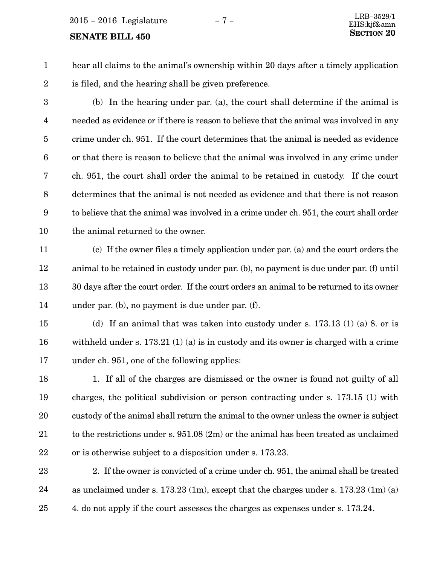$2015 - 2016$  Legislature  $-7 -$ <br> $\frac{LRB - 3529/1}{E[15.1.158 \text{ cm}^2]}$ 

#### **SENATE BILL 450**

hear all claims to the animal's ownership within 20 days after a timely application is filed, and the hearing shall be given preference. 1 2

(b) In the hearing under par. (a), the court shall determine if the animal is needed as evidence or if there is reason to believe that the animal was involved in any crime under ch. 951. If the court determines that the animal is needed as evidence or that there is reason to believe that the animal was involved in any crime under ch. 951, the court shall order the animal to be retained in custody. If the court determines that the animal is not needed as evidence and that there is not reason to believe that the animal was involved in a crime under ch. 951, the court shall order the animal returned to the owner. 3 4 5 6 7 8 9 10

(c) If the owner files a timely application under par. (a) and the court orders the animal to be retained in custody under par. (b), no payment is due under par. (f) until 30 days after the court order. If the court orders an animal to be returned to its owner under par. (b), no payment is due under par. (f). 11 12 13 14

(d) If an animal that was taken into custody under s. 173.13 (1) (a) 8. or is with held under s. 173.21 (1) (a) is in custody and its owner is charged with a crime under ch. 951, one of the following applies: 15 16 17

1. If all of the charges are dismissed or the owner is found not guilty of all charges, the political subdivision or person contracting under s. 173.15 (1) with custody of the animal shall return the animal to the owner unless the owner is subject to the restrictions under s. 951.08 (2m) or the animal has been treated as unclaimed or is otherwise subject to a disposition under s. 173.23. 18 19 20 21 22

2. If the owner is convicted of a crime under ch. 951, the animal shall be treated as unclaimed under s. 173.23 (1m), except that the charges under s. 173.23 (1m) (a) 4. do not apply if the court assesses the charges as expenses under s. 173.24. 23 24 25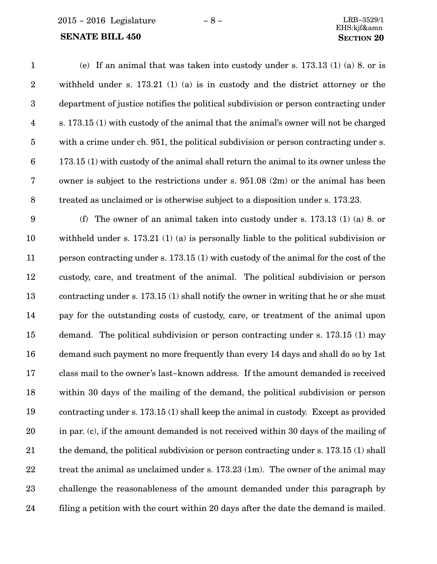2015 − 2016 Legislature − 8 − LRB−3529/1

| $\mathbf{1}$     | (e) If an animal that was taken into custody under s. $173.13$ (1) (a) 8. or is         |
|------------------|-----------------------------------------------------------------------------------------|
| $\sqrt{2}$       | withheld under s. $173.21$ (1) (a) is in custody and the district attorney or the       |
| $\sqrt{3}$       | department of justice notifies the political subdivision or person contracting under    |
| $\overline{4}$   | s. 173.15 (1) with custody of the animal that the animal's owner will not be charged    |
| $\bf 5$          | with a crime under ch. 951, the political subdivision or person contracting under s.    |
| $\boldsymbol{6}$ | 173.15 (1) with custody of the animal shall return the animal to its owner unless the   |
| 7                | owner is subject to the restrictions under s. $951.08$ (2m) or the animal has been      |
| $\, 8$           | treated as unclaimed or is otherwise subject to a disposition under s. 173.23.          |
| $\boldsymbol{9}$ | The owner of an animal taken into custody under s. 173.13 (1) (a) 8. or<br>(f)          |
| 10               | withheld under s. $173.21$ (1) (a) is personally liable to the political subdivision or |
| 11               | person contracting under s. 173.15 (1) with custody of the animal for the cost of the   |
| 12               | custody, care, and treatment of the animal. The political subdivision or person         |
| 13               | contracting under s. 173.15 (1) shall notify the owner in writing that he or she must   |
| 14               | pay for the outstanding costs of custody, care, or treatment of the animal upon         |
| 15               | demand. The political subdivision or person contracting under s. 173.15 (1) may         |
| 16               | demand such payment no more frequently than every 14 days and shall do so by 1st        |
| 17               | class mail to the owner's last-known address. If the amount demanded is received        |
| 18               | within 30 days of the mailing of the demand, the political subdivision or person        |
| 19               | contracting under s. 173.15 (1) shall keep the animal in custody. Except as provided    |
| 20               | in par. (c), if the amount demanded is not received within 30 days of the mailing of    |
| 21               | the demand, the political subdivision or person contracting under s. 173.15 (1) shall   |
| 22               | treat the animal as unclaimed under s. $173.23$ (1m). The owner of the animal may       |
| 23               | challenge the reasonableness of the amount demanded under this paragraph by             |
| 24               | filing a petition with the court within 20 days after the date the demand is mailed.    |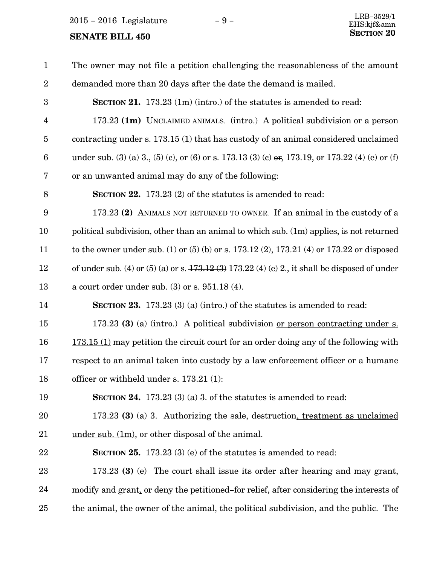2015 – 2016 Legislature − 9 –

| $\mathbf{1}$    | The owner may not file a petition challenging the reasonableness of the amount                    |
|-----------------|---------------------------------------------------------------------------------------------------|
| $\overline{2}$  | demanded more than 20 days after the date the demand is mailed.                                   |
| 3               | <b>SECTION 21.</b> 173.23 (1m) (intro.) of the statutes is amended to read:                       |
| $\overline{4}$  | 173.23 (1m) UNCLAIMED ANIMALS. (intro.) A political subdivision or a person                       |
| $\overline{5}$  | contracting under s. 173.15 (1) that has custody of an animal considered unclaimed                |
| $6\phantom{1}6$ | under sub. $(3)$ (a) 3, (5) (c), or (6) or s. 173.13 (3) (c) or, 173.19, or 173.22 (4) (e) or (f) |
| 7               | or an unwanted animal may do any of the following:                                                |
| 8               | <b>SECTION 22.</b> 173.23 (2) of the statutes is amended to read:                                 |
| 9               | 173.23 (2) ANIMALS NOT RETURNED TO OWNER. If an animal in the custody of a                        |
| 10              | political subdivision, other than an animal to which sub. (1m) applies, is not returned           |
| 11              | to the owner under sub. (1) or (5) (b) or s. $173.12(2)$ , $173.21(4)$ or $173.22$ or disposed    |
| 12              | of under sub. (4) or (5) (a) or s. $473.12(3) 173.22(4)$ (e) 2, it shall be disposed of under     |
| 13              | a court order under sub. $(3)$ or s. $951.18(4)$ .                                                |
| 14              | <b>SECTION 23.</b> 173.23 (3) (a) (intro.) of the statutes is amended to read:                    |
| 15              | 173.23 (3) (a) (intro.) A political subdivision <u>or person contracting under s.</u>             |
| 16              | $173.15$ (1) may petition the circuit court for an order doing any of the following with          |
| 17              | respect to an animal taken into custody by a law enforcement officer or a humane                  |
| 18              | officer or withheld under s. 173.21 (1):                                                          |
| 19              | SECTION 24. $173.23$ (3) (a) 3. of the statutes is amended to read:                               |
| 20              | 173.23 (3) (a) 3. Authorizing the sale, destruction, treatment as unclaimed                       |
| 21              | $\underline{\text{under sub. (1m)}}$ or other disposal of the animal.                             |
| 22              | SECTION 25. 173.23 (3) (e) of the statutes is amended to read:                                    |
| 23              | 173.23 (3) (e) The court shall issue its order after hearing and may grant,                       |
| 24              | modify and grant, or deny the petitioned-for relief, after considering the interests of           |
| 25              | the animal, the owner of the animal, the political subdivision, and the public. The               |